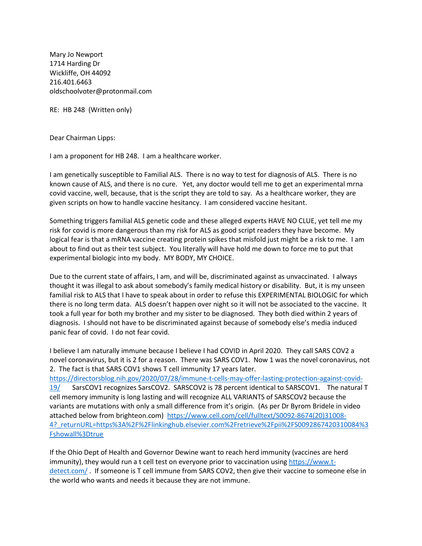Mary Jo Newport 1714 Harding Dr Wickliffe, OH 44092 216.401.6463 oldschoolvoter@protonmail.com

RE: HB 248 (Written only)

Dear Chairman Lipps:

I am a proponent for HB 248. I am a healthcare worker.

I am genetically susceptible to Familial ALS. There is no way to test for diagnosis of ALS. There is no known cause of ALS, and there is no cure. Yet, any doctor would tell me to get an experimental mrna covid vaccine, well, because, that is the script they are told to say. As a healthcare worker, they are given scripts on how to handle vaccine hesitancy. I am considered vaccine hesitant.

Something triggers familial ALS genetic code and these alleged experts HAVE NO CLUE, yet tell me my risk for covid is more dangerous than my risk for ALS as good script readers they have become. My logical fear is that a mRNA vaccine creating protein spikes that misfold just might be a risk to me. I am about to find out as their test subject. You literally will have hold me down to force me to put that experimental biologic into my body. MY BODY, MY CHOICE.

Due to the current state of affairs, I am, and will be, discriminated against as unvaccinated. I always thought it was illegal to ask about somebody's family medical history or disability. But, it is my unseen familial risk to ALS that I have to speak about in order to refuse this EXPERIMENTAL BIOLOGIC for which there is no long term data. ALS doesn't happen over night so it will not be associated to the vaccine. It took a full year for both my brother and my sister to be diagnosed. They both died within 2 years of diagnosis. I should not have to be discriminated against because of somebody else's media induced panic fear of covid. I do not fear covid.

I believe I am naturally immune because I believe I had COVID in April 2020. They call SARS COV2 a novel coronavirus, but it is 2 for a reason. There was SARS COV1. Now 1 was the novel coronavirus, not 2. The fact is that SARS COV1 shows T cell immunity 17 years later. [https://directorsblog.nih.gov/2020/07/28/immune-t-cells-may-offer-lasting-protection-against-covid-](https://directorsblog.nih.gov/2020/07/28/immune-t-cells-may-offer-lasting-protection-against-covid-19/)[19/](https://directorsblog.nih.gov/2020/07/28/immune-t-cells-may-offer-lasting-protection-against-covid-19/) SarsCOV1 recognizes SarsCOV2. SARSCOV2 is 78 percent identical to SARSCOV1. The natural T cell memory immunity is long lasting and will recognize ALL VARIANTS of SARSCOV2 because the variants are mutations with only a small difference from it's origin. (As per Dr Byrom Bridele in video attached below from brighteon.com) [https://www.cell.com/cell/fulltext/S0092-8674\(20\)31008-](https://www.cell.com/cell/fulltext/S0092-8674(20)31008-4?_returnURL=https%3A%2F%2Flinkinghub.elsevier.com%2Fretrieve%2Fpii%2FS0092867420310084%3Fshowall%3Dtrue) [4?\\_returnURL=https%3A%2F%2Flinkinghub.elsevier.com%2Fretrieve%2Fpii%2FS0092867420310084%3](https://www.cell.com/cell/fulltext/S0092-8674(20)31008-4?_returnURL=https%3A%2F%2Flinkinghub.elsevier.com%2Fretrieve%2Fpii%2FS0092867420310084%3Fshowall%3Dtrue) [Fshowall%3Dtrue](https://www.cell.com/cell/fulltext/S0092-8674(20)31008-4?_returnURL=https%3A%2F%2Flinkinghub.elsevier.com%2Fretrieve%2Fpii%2FS0092867420310084%3Fshowall%3Dtrue) 

If the Ohio Dept of Health and Governor Dewine want to reach herd immunity (vaccines are herd immunity), they would run a t cell test on everyone prior to vaccination using [https://www.t](https://www.t-detect.com/)[detect.com/](https://www.t-detect.com/) . If someone is T cell immune from SARS COV2, then give their vaccine to someone else in the world who wants and needs it because they are not immune.